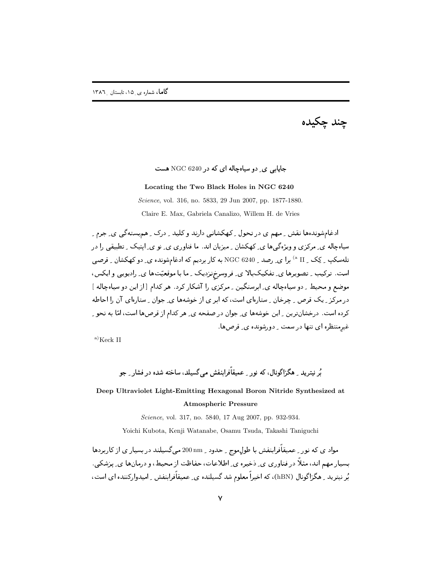جند چکيده

## جایابی ی دو سیاهچاله ای که در NGC 6240 هست

#### Locating the Two Black Holes in NGC 6240

Science, vol. 316, no. 5833, 29 Jun 2007, pp. 1877-1880.

Claire E. Max, Gabriela Canalizo, Willem H. de Vries

ادغامشوندهها نقش ِ مهم ی در تحول ِ کهکشانی دارند و کلید ِ درک ِ هم بِسته گی ی ِ جرم ِ سیامچاله ی ِ مرکزی و ویژهگےها ی ِ کهکشان ِ میزبان اند. ما فناوری ی ِ نو ی ِ ایتیک ِ تطبیقی را در تلهسکپ ِ کِک ِ II <sup>۵)</sup> برا ی ِ رصد ِ 9240 NGC به کار بردیم که ادغامشونده ی ِ دو کهکشان ِ قرصی است. ترکیب ِ تصویرها ی ِ تفکیکبالا ی ِ فروسرخِزدیک ِ ما با موقعیّتها ی ِ رادیویی و ایکس، موضع و محیط ِ دو سیاهچاله ی ِ ابرسنگین ِ ِ مرکزی را آشکار کرد. هر کدام [از این دو سیاهچاله ] در مرکز ِ یک قرص ِ چرخان ِ ستارهای است، که ابر ی از خوشهها ی ِ جوان ِ ستارهای آن را احاطه کرده است. درخشانترین ِ این خوشهها ی ِ جوان در صفحه ی ِ هر کدام از قرصها است، امّا به نحو ِ غیرمنتظره ای تنها در سمت - دورشونده ی ـ قرص ها.

 $a)$ Keck II

ر<br>بُر نيتريد \_ هڳزاڳونال، که نور \_ عميقاًفراينفش ميرگسيلد، ساخته شده در فشار \_ جو

# Deep Ultraviolet Light-Emitting Hexagonal Boron Nitride Synthesized at **Atmospheric Pressure**

Science, vol. 317, no. 5840, 17 Aug 2007, pp. 932-934.

Yoichi Kubota, Kenji Watanabe, Osamu Tsuda, Takashi Taniguchi

مواد ی که نور <sub>-</sub> عمیقاًفرابنفش با طولِ موج <sub>-</sub> حدود <sub>-</sub> 200 mm و200 میگسیلند در بسیار ی از کاربردها بسیار مهم اند، مثلاً در فناوری ی ِ دخیره ی ِ اطلاعات، حفاظت از محیط، و درمانها ی ِ یزشکی ِ بُر نیترید <sub>-</sub> هگزاگونال (hBN)، که اخیراً معلوم شد گسیلنده ی ِ عمیقاًفرابنفش <sub>-</sub> امیدوارکننده ای است،